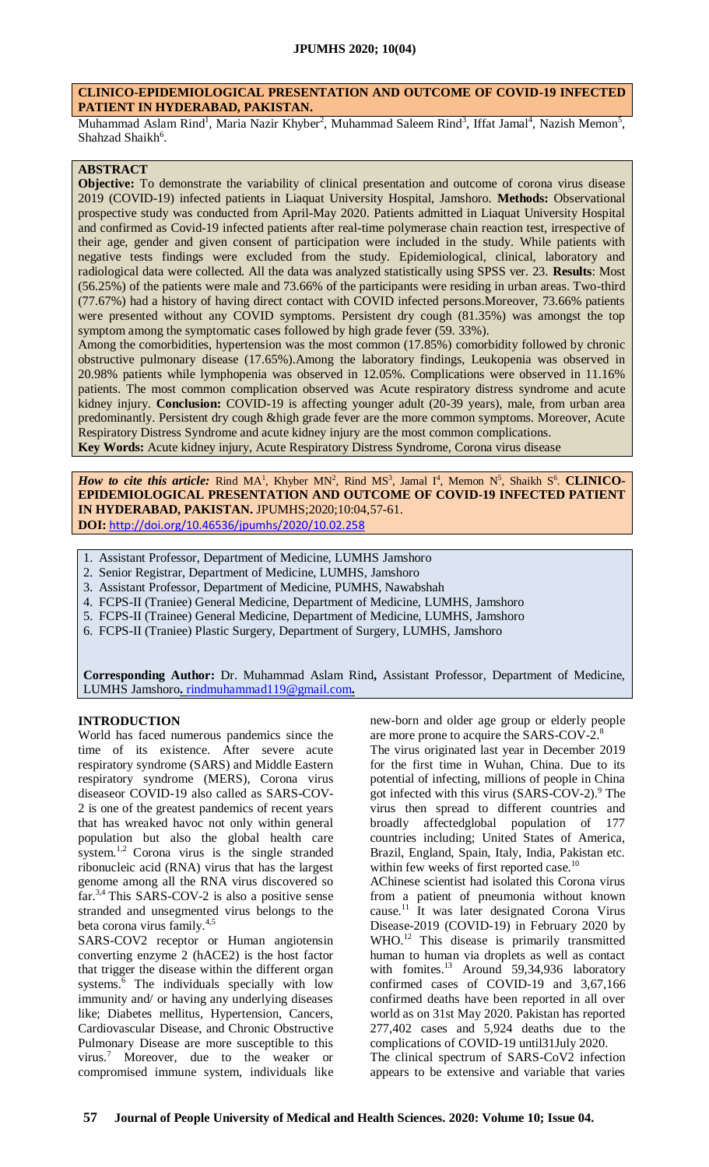### **CLINICO-EPIDEMIOLOGICAL PRESENTATION AND OUTCOME OF COVID-19 INFECTED PATIENT IN HYDERABAD, PAKISTAN.**

Muhammad Aslam Rind<sup>1</sup>, Maria Nazir Khyber<sup>2</sup>, Muhammad Saleem Rind<sup>3</sup>, Iffat Jamal<sup>4</sup>, Nazish Memon<sup>5</sup>, Shahzad Shaikh<sup>6</sup>.

# **ABSTRACT**

**Objective:** To demonstrate the variability of clinical presentation and outcome of corona virus disease 2019 (COVID-19) infected patients in Liaquat University Hospital, Jamshoro. **Methods:** Observational prospective study was conducted from April-May 2020. Patients admitted in Liaquat University Hospital and confirmed as Covid-19 infected patients after real-time polymerase chain reaction test, irrespective of their age, gender and given consent of participation were included in the study. While patients with negative tests findings were excluded from the study. Epidemiological, clinical, laboratory and radiological data were collected. All the data was analyzed statistically using SPSS ver. 23. **Results**: Most (56.25%) of the patients were male and 73.66% of the participants were residing in urban areas. Two-third (77.67%) had a history of having direct contact with COVID infected persons.Moreover, 73.66% patients were presented without any COVID symptoms. Persistent dry cough (81.35%) was amongst the top symptom among the symptomatic cases followed by high grade fever (59. 33%).

Among the comorbidities, hypertension was the most common (17.85%) comorbidity followed by chronic obstructive pulmonary disease (17.65%).Among the laboratory findings, Leukopenia was observed in 20.98% patients while lymphopenia was observed in 12.05%. Complications were observed in 11.16% patients. The most common complication observed was Acute respiratory distress syndrome and acute kidney injury. **Conclusion:** COVID-19 is affecting younger adult (20-39 years), male, from urban area predominantly. Persistent dry cough &high grade fever are the more common symptoms. Moreover, Acute Respiratory Distress Syndrome and acute kidney injury are the most common complications. **Key Words:** Acute kidney injury, Acute Respiratory Distress Syndrome, Corona virus disease

How to cite this article: Rind MA<sup>1</sup>, Khyber MN<sup>2</sup>, Rind MS<sup>3</sup>, Jamal I<sup>4</sup>, Memon N<sup>5</sup>, Shaikh S<sup>6</sup>. **CLINICO**-**EPIDEMIOLOGICAL PRESENTATION AND OUTCOME OF COVID-19 INFECTED PATIENT IN HYDERABAD, PAKISTAN.** JPUMHS;2020;10:04,57-61. **DOI:** <http://doi.org/10.46536/jpumhs/2020/10.02.258>

- 1. Assistant Professor, Department of Medicine, LUMHS Jamshoro
- 2. Senior Registrar, Department of Medicine, LUMHS, Jamshoro
- 3. Assistant Professor, Department of Medicine, PUMHS, Nawabshah
- 4. FCPS-II (Traniee) General Medicine, Department of Medicine, LUMHS, Jamshoro
- 5. FCPS-II (Trainee) General Medicine, Department of Medicine, LUMHS, Jamshoro
- 6. FCPS-II (Traniee) Plastic Surgery, Department of Surgery, LUMHS, Jamshoro

**Corresponding Author:** Dr. Muhammad Aslam Rind**,** Assistant Professor, Department of Medicine, LUMHS Jamshoro**.** [rindmuhammad119@gmail.com](mailto:rindmuhammad119@gmail.com)**.** 

#### **INTRODUCTION**

World has faced numerous pandemics since the time of its existence. After severe acute respiratory syndrome (SARS) and Middle Eastern respiratory syndrome (MERS), Corona virus diseaseor COVID-19 also called as SARS-COV-2 is one of the greatest pandemics of recent years that has wreaked havoc not only within general population but also the global health care system.<sup>1,2</sup> Corona virus is the single stranded ribonucleic acid (RNA) virus that has the largest genome among all the RNA virus discovered so  $far.^{3,4}$  This SARS-COV-2 is also a positive sense stranded and unsegmented virus belongs to the beta corona virus family.<sup>4,5</sup>

SARS-COV2 receptor or Human angiotensin converting enzyme 2 (hACE2) is the host factor that trigger the disease within the different organ systems.<sup>6</sup> The individuals specially with low immunity and/ or having any underlying diseases like; Diabetes mellitus, Hypertension, Cancers, Cardiovascular Disease, and Chronic Obstructive Pulmonary Disease are more susceptible to this virus.<sup>7</sup> Moreover, due to the weaker or compromised immune system, individuals like

new-born and older age group or elderly people are more prone to acquire the SARS-COV-2.<sup>8</sup>

The virus originated last year in December 2019 for the first time in Wuhan, China. Due to its potential of infecting, millions of people in China got infected with this virus  $(SARS-COV-2)$ .<sup>9</sup> The virus then spread to different countries and broadly affectedglobal population of 177 countries including; United States of America, Brazil, England, Spain, Italy, India, Pakistan etc. within few weeks of first reported case.<sup>10</sup>

AChinese scientist had isolated this Corona virus from a patient of pneumonia without known cause.<sup>11</sup> It was later designated Corona Virus Disease-2019 (COVID-19) in February 2020 by WHO.<sup>12</sup> This disease is primarily transmitted human to human via droplets as well as contact with fomites.<sup>13</sup> Around 59,34,936 laboratory confirmed cases of COVID-19 and 3,67,166 confirmed deaths have been reported in all over world as on 31st May 2020. Pakistan has reported 277,402 cases and 5,924 deaths due to the complications of COVID-19 until31July 2020.

The clinical spectrum of SARS-CoV2 infection appears to be extensive and variable that varies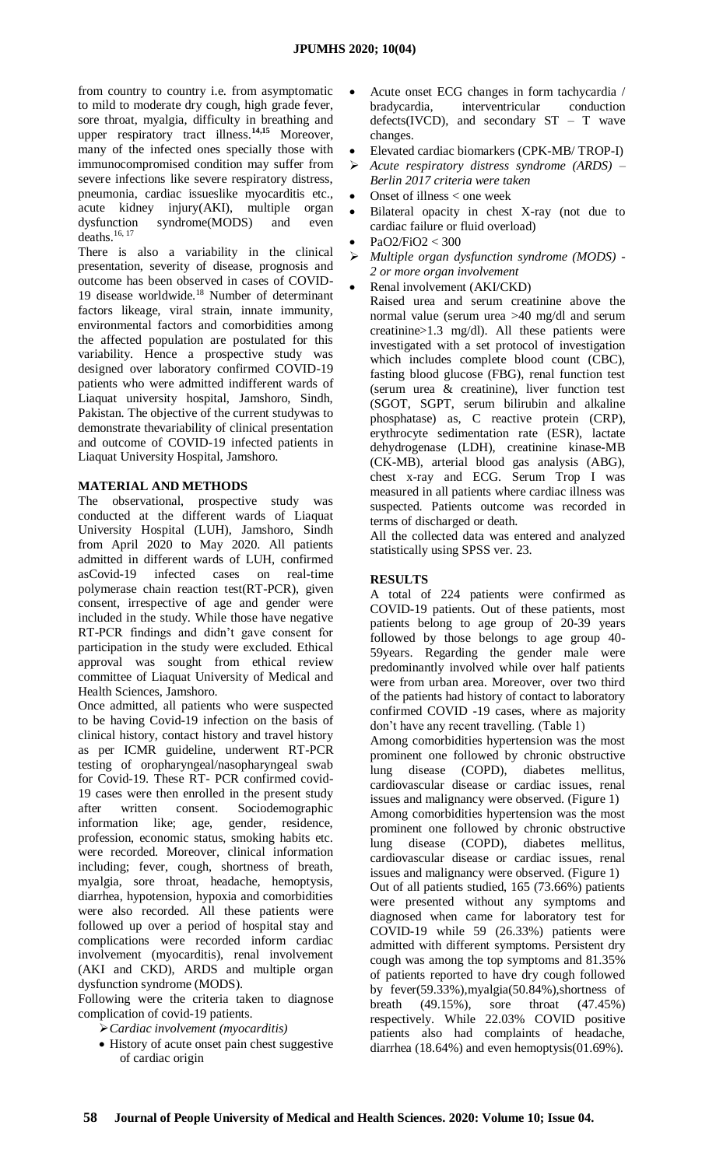from country to country i.e. from asymptomatic to mild to moderate dry cough, high grade fever, sore throat, myalgia, difficulty in breathing and upper respiratory tract illness.**14,15** Moreover, many of the infected ones specially those with immunocompromised condition may suffer from severe infections like severe respiratory distress, pneumonia, cardiac issueslike myocarditis etc., acute kidney injury(AKI), multiple organ dysfunction syndrome(MODS) and even deaths.<sup>16, 17</sup>

There is also a variability in the clinical presentation, severity of disease, prognosis and outcome has been observed in cases of COVID-19 disease worldwide.<sup>18</sup> Number of determinant factors likeage, viral strain, innate immunity, environmental factors and comorbidities among the affected population are postulated for this variability. Hence a prospective study was designed over laboratory confirmed COVID-19 patients who were admitted indifferent wards of Liaquat university hospital, Jamshoro, Sindh, Pakistan. The objective of the current studywas to demonstrate thevariability of clinical presentation and outcome of COVID-19 infected patients in Liaquat University Hospital, Jamshoro.

## **MATERIAL AND METHODS**

The observational, prospective study was conducted at the different wards of Liaquat University Hospital (LUH), Jamshoro, Sindh from April 2020 to May 2020. All patients admitted in different wards of LUH, confirmed asCovid-19 infected cases on real-time polymerase chain reaction test(RT-PCR), given consent, irrespective of age and gender were included in the study. While those have negative RT-PCR findings and didn't gave consent for participation in the study were excluded. Ethical approval was sought from ethical review committee of Liaquat University of Medical and Health Sciences, Jamshoro.

Once admitted, all patients who were suspected to be having Covid-19 infection on the basis of clinical history, contact history and travel history as per ICMR guideline, underwent RT-PCR testing of oropharyngeal/nasopharyngeal swab for Covid-19. These RT- PCR confirmed covid-19 cases were then enrolled in the present study after written consent. Sociodemographic information like; age, gender, residence, profession, economic status, smoking habits etc. were recorded. Moreover, clinical information including; fever, cough, shortness of breath, myalgia, sore throat, headache, hemoptysis, diarrhea, hypotension, hypoxia and comorbidities were also recorded. All these patients were followed up over a period of hospital stay and complications were recorded inform cardiac involvement (myocarditis), renal involvement (AKI and CKD), ARDS and multiple organ dysfunction syndrome (MODS).

Following were the criteria taken to diagnose complication of covid-19 patients.

- *Cardiac involvement (myocarditis)*
- History of acute onset pain chest suggestive of cardiac origin
- Acute onset ECG changes in form tachycardia / bradycardia, interventricular conduction defects(IVCD), and secondary  $ST - T$  wave changes.
- Elevated cardiac biomarkers (CPK-MB/ TROP-I)
- *Acute respiratory distress syndrome (ARDS) – Berlin 2017 criteria were taken*
- Onset of illness < one week
- Bilateral opacity in chest X-ray (not due to cardiac failure or fluid overload)
- PaO2/FiO2 < 300
- *Multiple organ dysfunction syndrome (MODS) - 2 or more organ involvement*
- Renal involvement (AKI/CKD)

Raised urea and serum creatinine above the normal value (serum urea >40 mg/dl and serum creatinine>1.3 mg/dl). All these patients were investigated with a set protocol of investigation which includes complete blood count (CBC), fasting blood glucose (FBG), renal function test (serum urea & creatinine), liver function test (SGOT, SGPT, serum bilirubin and alkaline phosphatase) as, C reactive protein (CRP), erythrocyte sedimentation rate (ESR), lactate dehydrogenase (LDH), creatinine kinase-MB (CK-MB), arterial blood gas analysis (ABG), chest x-ray and ECG. Serum Trop I was measured in all patients where cardiac illness was suspected. Patients outcome was recorded in terms of discharged or death.

All the collected data was entered and analyzed statistically using SPSS ver. 23.

# **RESULTS**

A total of 224 patients were confirmed as COVID-19 patients. Out of these patients, most patients belong to age group of 20-39 years followed by those belongs to age group 40- 59years. Regarding the gender male were predominantly involved while over half patients were from urban area. Moreover, over two third of the patients had history of contact to laboratory confirmed COVID -19 cases, where as majority don't have any recent travelling. (Table 1) Among comorbidities hypertension was the most prominent one followed by chronic obstructive lung disease (COPD), diabetes mellitus, cardiovascular disease or cardiac issues, renal issues and malignancy were observed. (Figure 1) Among comorbidities hypertension was the most prominent one followed by chronic obstructive lung disease (COPD), diabetes mellitus, cardiovascular disease or cardiac issues, renal issues and malignancy were observed. (Figure 1) Out of all patients studied, 165 (73.66%) patients were presented without any symptoms and diagnosed when came for laboratory test for COVID-19 while 59 (26.33%) patients were admitted with different symptoms. Persistent dry cough was among the top symptoms and 81.35% of patients reported to have dry cough followed by fever(59.33%),myalgia(50.84%),shortness of<br>breath (49.15%), sore throat (47.45%) breath (49.15%), sore throat (47.45%) respectively. While 22.03% COVID positive patients also had complaints of headache, diarrhea (18.64%) and even hemoptysis(01.69%).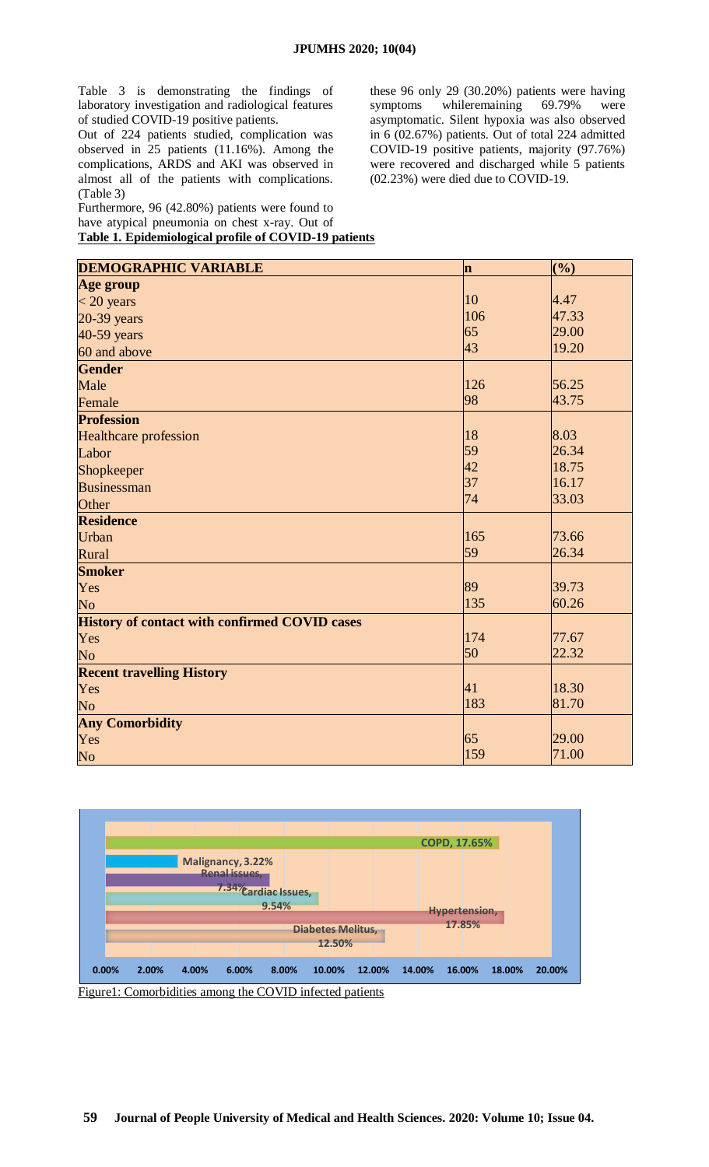Table 3 is demonstrating the findings of laboratory investigation and radiological features of studied COVID-19 positive patients.

Out of 224 patients studied, complication was observed in 25 patients (11.16%). Among the complications, ARDS and AKI was observed in almost all of the patients with complications. (Table 3)

Furthermore, 96 (42.80%) patients were found to have atypical pneumonia on chest x-ray. Out of **Table 1. Epidemiological profile of COVID-19 patients**

these 96 only 29 (30.20%) patients were having symptoms whileremaining 69.79% were asymptomatic. Silent hypoxia was also observed in 6 (02.67%) patients. Out of total 224 admitted COVID-19 positive patients, majority (97.76%) were recovered and discharged while 5 patients (02.23%) were died due to COVID-19.

| <b>DEMOGRAPHIC VARIABLE</b>                          | $\mathbf n$ | (%)   |
|------------------------------------------------------|-------------|-------|
| Age group                                            |             |       |
| $<$ 20 years                                         | 10          | 4.47  |
| 20-39 years                                          | 106         | 47.33 |
| 40-59 years                                          | 65          | 29.00 |
| 60 and above                                         | 43          | 19.20 |
| <b>Gender</b>                                        |             |       |
| Male                                                 | 126         | 56.25 |
| Female                                               | 98          | 43.75 |
| <b>Profession</b>                                    |             |       |
| <b>Healthcare profession</b>                         | 18          | 8.03  |
| Labor                                                | 59          | 26.34 |
| Shopkeeper                                           | 42          | 18.75 |
| <b>Businessman</b>                                   | 37          | 16.17 |
| Other                                                | 74          | 33.03 |
| <b>Residence</b>                                     |             |       |
| Urban                                                | 165         | 73.66 |
| Rural                                                | 59          | 26.34 |
| <b>Smoker</b>                                        |             |       |
| Yes                                                  | 89          | 39.73 |
| N <sub>o</sub>                                       | 135         | 60.26 |
| <b>History of contact with confirmed COVID cases</b> |             |       |
| Yes                                                  | 174         | 77.67 |
| N <sub>o</sub>                                       | 50          | 22.32 |
| <b>Recent travelling History</b>                     |             |       |
| Yes                                                  | 41          | 18.30 |
| N <sub>o</sub>                                       | 183         | 81.70 |
| <b>Any Comorbidity</b>                               |             |       |
| Yes                                                  | 65          | 29.00 |
| N <sub>o</sub>                                       | 159         | 71.00 |

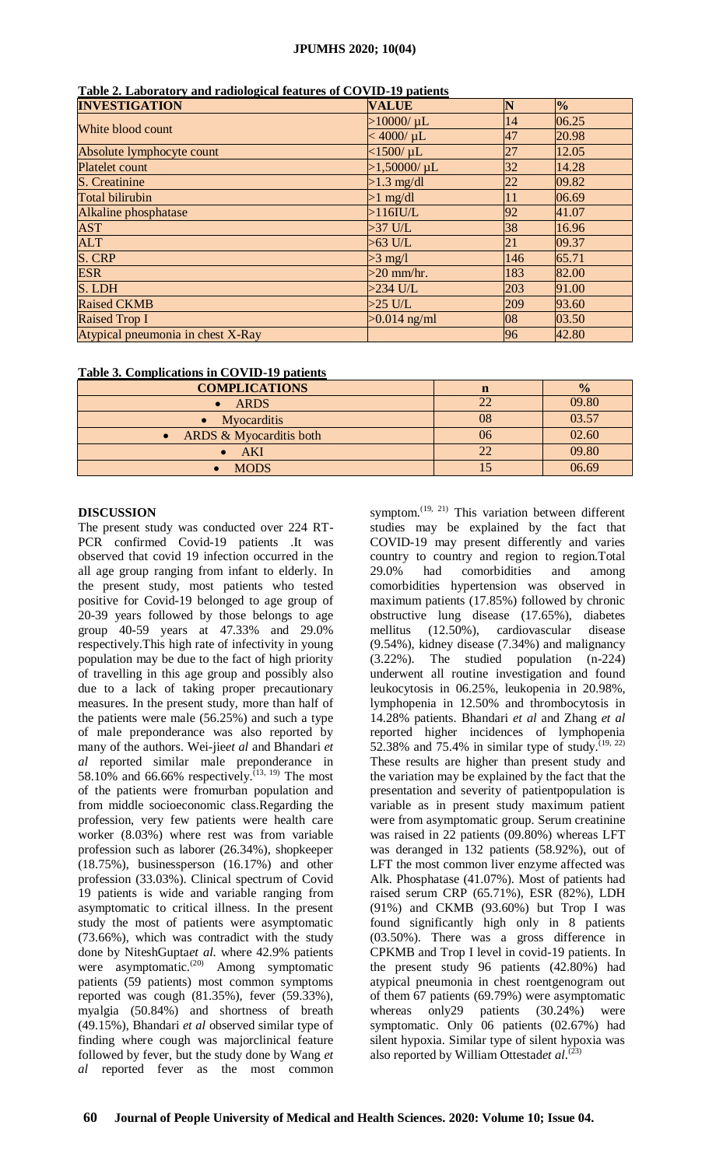| <b>INVESTIGATION</b>              | <b>VALUE</b>      | N   | $\frac{1}{2}$ |
|-----------------------------------|-------------------|-----|---------------|
| White blood count                 | $>10000/ \mu L$   | 14  | 06.25         |
|                                   | $< 4000 / \mu L$  | 47  | 20.98         |
| Absolute lymphocyte count         | $<$ 1500/ $\mu$ L | 27  | 12.05         |
| <b>Platelet count</b>             | $>1,50000/ \mu L$ | 32  | 14.28         |
| S. Creatinine                     | $>1.3$ mg/dl      | 22  | 09.82         |
| <b>Total bilirubin</b>            | $>1$ mg/dl        | 11  | 06.69         |
| Alkaline phosphatase              | $>116$ IU/L       | 92  | 41.07         |
| <b>AST</b>                        | $>37$ U/L         | 38  | 16.96         |
| <b>ALT</b>                        | $>63$ U/L         | 21  | 09.37         |
| S. CRP                            | $>3$ mg/l         | 146 | 65.71         |
| <b>ESR</b>                        | $>20$ mm/hr.      | 183 | 82.00         |
| S. LDH                            | $>234$ U/L        | 203 | 91.00         |
| <b>Raised CKMB</b>                | $>25$ U/L         | 209 | 93.60         |
| <b>Raised Trop I</b>              | $>0.014$ ng/ml    | 08  | 03.50         |
| Atypical pneumonia in chest X-Ray |                   | 96  | 42.80         |

| Table 2. Laboratory and radiological features of COVID-19 patients |  |
|--------------------------------------------------------------------|--|
|                                                                    |  |

|  | Table 3. Complications in COVID-19 patients |  |
|--|---------------------------------------------|--|
|  |                                             |  |

| <b>COMPLICATIONS</b>               | n             | $\frac{0}{0}$ |
|------------------------------------|---------------|---------------|
| ARDS                               | າາ            | 09.80         |
| <b>Myocarditis</b>                 | 08            | 03.57         |
| <b>ARDS &amp; Myocarditis both</b> | 06            | 02.60         |
| AKI                                | $\mathcal{D}$ | 09.80         |
| <b>MODS</b>                        |               | 06.69         |

### **DISCUSSION**

The present study was conducted over 224 RT-PCR confirmed Covid-19 patients .It was observed that covid 19 infection occurred in the all age group ranging from infant to elderly. In the present study, most patients who tested positive for Covid-19 belonged to age group of 20-39 years followed by those belongs to age group 40-59 years at 47.33% and 29.0% respectively.This high rate of infectivity in young population may be due to the fact of high priority of travelling in this age group and possibly also due to a lack of taking proper precautionary measures. In the present study, more than half of the patients were male (56.25%) and such a type of male preponderance was also reported by many of the authors. Wei-jie*et al* and Bhandari *et al* reported similar male preponderance in 58.10% and 66.66% respectively.<sup> $(13, 19)$ </sup> The most of the patients were fromurban population and from middle socioeconomic class.Regarding the profession, very few patients were health care worker (8.03%) where rest was from variable profession such as laborer (26.34%), shopkeeper (18.75%), businessperson (16.17%) and other profession (33.03%). Clinical spectrum of Covid 19 patients is wide and variable ranging from asymptomatic to critical illness. In the present study the most of patients were asymptomatic (73.66%), which was contradict with the study done by NiteshGupta*et al*. where 42.9% patients were asymptomatic.<sup>(20)</sup> Among symptomatic patients (59 patients) most common symptoms reported was cough (81.35%), fever (59.33%), myalgia (50.84%) and shortness of breath (49.15%), Bhandari *et al* observed similar type of finding where cough was majorclinical feature followed by fever, but the study done by Wang *et al* reported fever as the most common

symptom. $(19, 21)$  This variation between different studies may be explained by the fact that COVID-19 may present differently and varies country to country and region to region.Total 29.0% had comorbidities and among comorbidities hypertension was observed in maximum patients (17.85%) followed by chronic obstructive lung disease (17.65%), diabetes mellitus (12.50%), cardiovascular disease (9.54%), kidney disease (7.34%) and malignancy (3.22%). The studied population (n-224) underwent all routine investigation and found leukocytosis in 06.25%, leukopenia in 20.98%, lymphopenia in 12.50% and thrombocytosis in 14.28% patients. Bhandari *et al* and Zhang *et al*  reported higher incidences of lymphopenia 52.38% and  $75.4\%$  in similar type of study.<sup>1</sup> These results are higher than present study and the variation may be explained by the fact that the presentation and severity of patientpopulation is variable as in present study maximum patient were from asymptomatic group. Serum creatinine was raised in 22 patients (09.80%) whereas LFT was deranged in 132 patients (58.92%), out of LFT the most common liver enzyme affected was Alk. Phosphatase (41.07%). Most of patients had raised serum CRP (65.71%), ESR (82%), LDH (91%) and CKMB (93.60%) but Trop I was found significantly high only in 8 patients (03.50%). There was a gross difference in CPKMB and Trop I level in covid-19 patients. In the present study 96 patients (42.80%) had atypical pneumonia in chest roentgenogram out of them 67 patients (69.79%) were asymptomatic whereas only29 patients (30.24%) were symptomatic. Only 06 patients (02.67%) had silent hypoxia. Similar type of silent hypoxia was also reported by William Ottestadet al.<sup>(23)</sup>